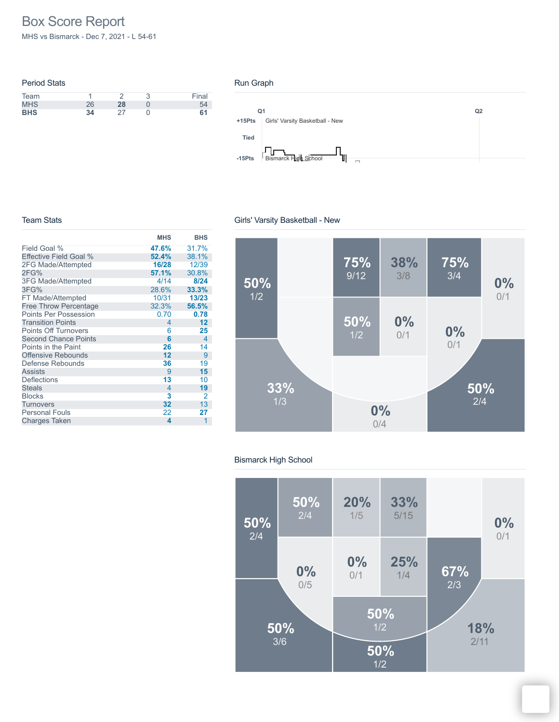# Box Score Report

MHS vs Bismarck - Dec 7, 2021 - L 54-61

| <b>Period Stats</b> |    |    |       |
|---------------------|----|----|-------|
| Team                |    |    | Final |
| <b>MHS</b>          | 26 | 28 | 54    |
| <b>BHS</b>          | 34 |    | 61    |

### Run Graph



### Team Stats

**MHS BHS** Field Goal % Effective Field Goal % 2FG Made/Attempted 2FG% 3FG Made/Attempted 3FG% FT Made/Attempted Free Throw Percentage Points Per Possession Transition Points Points Off Turnovers Second Chance Points Points in the Paint Offensive Rebounds Defense Rebounds Assists **Deflections Steals** Blocks **Turnovers** Personal Fouls Charges Taken **47.6%** 31.7% **52.4%** 38.1% **16/28** 12/39<br>**57.1%** 30.8% **57.1%** 30.8% 4/14 **8/24** 28.6% **33.3%** 10/31 **13/23** 32.3% **56.5%** 0.70 **0.78** 4 **12** 6 **25**  $\begin{array}{ccc} 6 & & 4 \\ 26 & & 14 \end{array}$ **26** 14<br>**12** 9 12 9<br>**36** 19 **36** 19<br>9 **15** 9 **15 13** 10<br>4 **19** 4 **19**  $\begin{array}{ccc} 3 & 2 \\ 32 & 13 \end{array}$ **32** 13 22 **27 4** 1

# Girls' Varsity Basketball - New



#### Bismarck High School